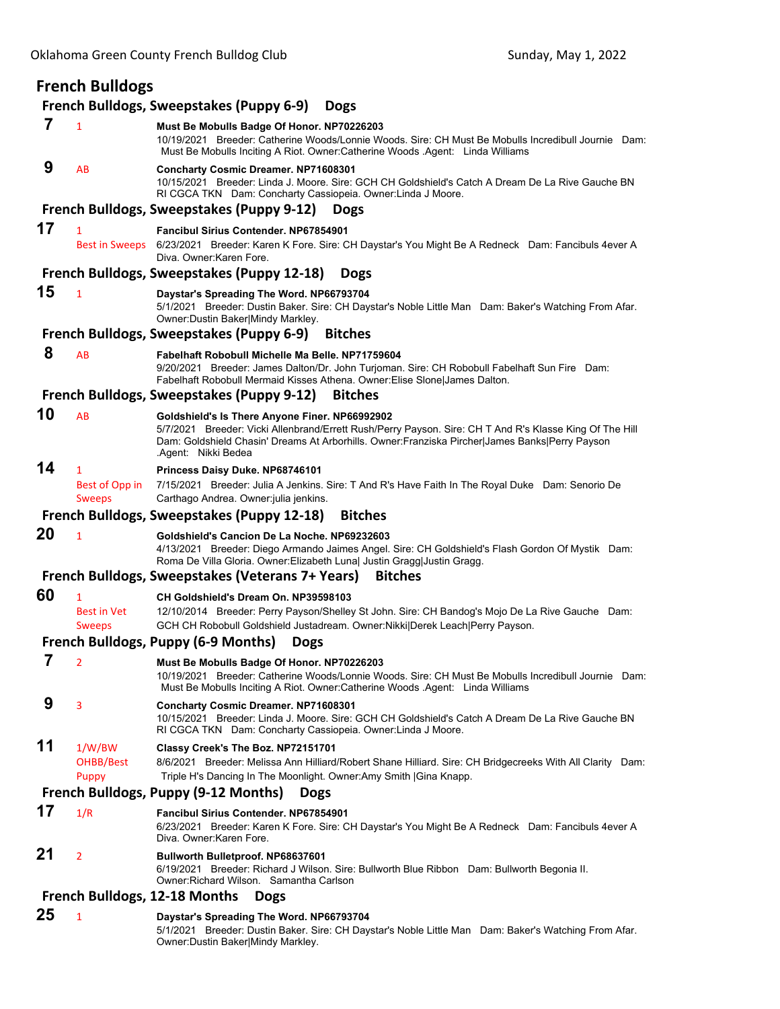| <b>French Bulldogs</b>                       |                                          |                                                                                                                                                                                                                                                                                    |  |  |  |  |
|----------------------------------------------|------------------------------------------|------------------------------------------------------------------------------------------------------------------------------------------------------------------------------------------------------------------------------------------------------------------------------------|--|--|--|--|
|                                              |                                          | French Bulldogs, Sweepstakes (Puppy 6-9)<br><b>Dogs</b>                                                                                                                                                                                                                            |  |  |  |  |
| 7                                            | $\mathbf{1}$                             | Must Be Mobulls Badge Of Honor. NP70226203<br>10/19/2021 Breeder: Catherine Woods/Lonnie Woods. Sire: CH Must Be Mobulls Incredibull Journie Dam:<br>Must Be Mobulls Inciting A Riot. Owner:Catherine Woods .Agent: Linda Williams                                                 |  |  |  |  |
| 9                                            | AB                                       | <b>Concharty Cosmic Dreamer. NP71608301</b><br>10/15/2021 Breeder: Linda J. Moore. Sire: GCH CH Goldshield's Catch A Dream De La Rive Gauche BN<br>RI CGCA TKN Dam: Concharty Cassiopeia. Owner: Linda J Moore.                                                                    |  |  |  |  |
|                                              |                                          | <b>French Bulldogs, Sweepstakes (Puppy 9-12)</b><br><b>Dogs</b>                                                                                                                                                                                                                    |  |  |  |  |
| 17                                           | 1<br>Best in Sweeps                      | Fancibul Sirius Contender. NP67854901<br>6/23/2021 Breeder: Karen K Fore. Sire: CH Daystar's You Might Be A Redneck Dam: Fancibuls 4ever A<br>Diva. Owner: Karen Fore.                                                                                                             |  |  |  |  |
|                                              |                                          | French Bulldogs, Sweepstakes (Puppy 12-18)<br><b>Dogs</b>                                                                                                                                                                                                                          |  |  |  |  |
| 15                                           | $\mathbf{1}$                             | Daystar's Spreading The Word. NP66793704<br>5/1/2021 Breeder: Dustin Baker. Sire: CH Daystar's Noble Little Man Dam: Baker's Watching From Afar.<br>Owner: Dustin Baker Mindy Markley.                                                                                             |  |  |  |  |
|                                              |                                          | French Bulldogs, Sweepstakes (Puppy 6-9)<br><b>Bitches</b>                                                                                                                                                                                                                         |  |  |  |  |
| 8                                            | AB                                       | Fabelhaft Robobull Michelle Ma Belle, NP71759604<br>9/20/2021 Breeder: James Dalton/Dr. John Turjoman. Sire: CH Robobull Fabelhaft Sun Fire Dam:<br>Fabelhaft Robobull Mermaid Kisses Athena. Owner: Elise Slone James Dalton.                                                     |  |  |  |  |
|                                              |                                          | French Bulldogs, Sweepstakes (Puppy 9-12)<br><b>Bitches</b>                                                                                                                                                                                                                        |  |  |  |  |
| 10                                           | AB                                       | Goldshield's Is There Anyone Finer. NP66992902<br>5/7/2021 Breeder: Vicki Allenbrand/Errett Rush/Perry Payson. Sire: CH T And R's Klasse King Of The Hill<br>Dam: Goldshield Chasin' Dreams At Arborhills. Owner:Franziska Pircher James Banks Perry Payson<br>.Agent: Nikki Bedea |  |  |  |  |
| 14                                           | 1<br>Best of Opp in<br><b>Sweeps</b>     | Princess Daisy Duke. NP68746101<br>7/15/2021 Breeder: Julia A Jenkins. Sire: T And R's Have Faith In The Royal Duke Dam: Senorio De<br>Carthago Andrea. Owner: julia jenkins.                                                                                                      |  |  |  |  |
|                                              |                                          | French Bulldogs, Sweepstakes (Puppy 12-18)<br><b>Bitches</b>                                                                                                                                                                                                                       |  |  |  |  |
| 20                                           | $\mathbf{1}$                             | Goldshield's Cancion De La Noche. NP69232603<br>4/13/2021 Breeder: Diego Armando Jaimes Angel. Sire: CH Goldshield's Flash Gordon Of Mystik Dam:<br>Roma De Villa Gloria. Owner: Elizabeth Luna  Justin Gragg  Justin Gragg.                                                       |  |  |  |  |
|                                              |                                          | French Bulldogs, Sweepstakes (Veterans 7+ Years)<br><b>Bitches</b>                                                                                                                                                                                                                 |  |  |  |  |
| 60                                           | 1<br><b>Best in Vet</b><br><b>Sweeps</b> | CH Goldshield's Dream On. NP39598103<br>12/10/2014 Breeder: Perry Payson/Shelley St John. Sire: CH Bandog's Mojo De La Rive Gauche Dam:<br>GCH CH Robobull Goldshield Justadream. Owner: Nikki Derek Leach Perry Payson.                                                           |  |  |  |  |
|                                              |                                          | French Bulldogs, Puppy (6-9 Months) Dogs                                                                                                                                                                                                                                           |  |  |  |  |
| 7                                            | $\overline{2}$                           | Must Be Mobulls Badge Of Honor. NP70226203<br>10/19/2021 Breeder: Catherine Woods/Lonnie Woods. Sire: CH Must Be Mobulls Incredibull Journie Dam:<br>Must Be Mobulls Inciting A Riot. Owner:Catherine Woods .Agent: Linda Williams                                                 |  |  |  |  |
| 9                                            | 3                                        | Concharty Cosmic Dreamer. NP71608301<br>10/15/2021 Breeder: Linda J. Moore. Sire: GCH CH Goldshield's Catch A Dream De La Rive Gauche BN<br>RI CGCA TKN Dam: Concharty Cassiopeia. Owner: Linda J Moore.                                                                           |  |  |  |  |
| 11                                           | 1/W/BW<br>OHBB/Best<br>Puppy             | Classy Creek's The Boz. NP72151701<br>8/6/2021 Breeder: Melissa Ann Hilliard/Robert Shane Hilliard. Sire: CH Bridgecreeks With All Clarity Dam:<br>Triple H's Dancing In The Moonlight. Owner:Amy Smith   Gina Knapp.                                                              |  |  |  |  |
|                                              |                                          | French Bulldogs, Puppy (9-12 Months)<br><b>Dogs</b>                                                                                                                                                                                                                                |  |  |  |  |
| 17                                           | 1/R                                      | <b>Fancibul Sirius Contender, NP67854901</b>                                                                                                                                                                                                                                       |  |  |  |  |
|                                              |                                          | 6/23/2021 Breeder: Karen K Fore. Sire: CH Daystar's You Might Be A Redneck Dam: Fancibuls 4ever A<br>Diva. Owner: Karen Fore.                                                                                                                                                      |  |  |  |  |
| 21                                           | $\overline{2}$                           | Bullworth Bulletproof. NP68637601<br>6/19/2021 Breeder: Richard J Wilson. Sire: Bullworth Blue Ribbon Dam: Bullworth Begonia II.<br>Owner Richard Wilson. Samantha Carlson                                                                                                         |  |  |  |  |
| French Bulldogs, 12-18 Months<br><b>Dogs</b> |                                          |                                                                                                                                                                                                                                                                                    |  |  |  |  |
| 25                                           | $\mathbf{1}$                             | Daystar's Spreading The Word. NP66793704<br>5/1/2021 Breeder: Dustin Baker. Sire: CH Daystar's Noble Little Man Dam: Baker's Watching From Afar.<br>Owner: Dustin Baker Mindy Markley.                                                                                             |  |  |  |  |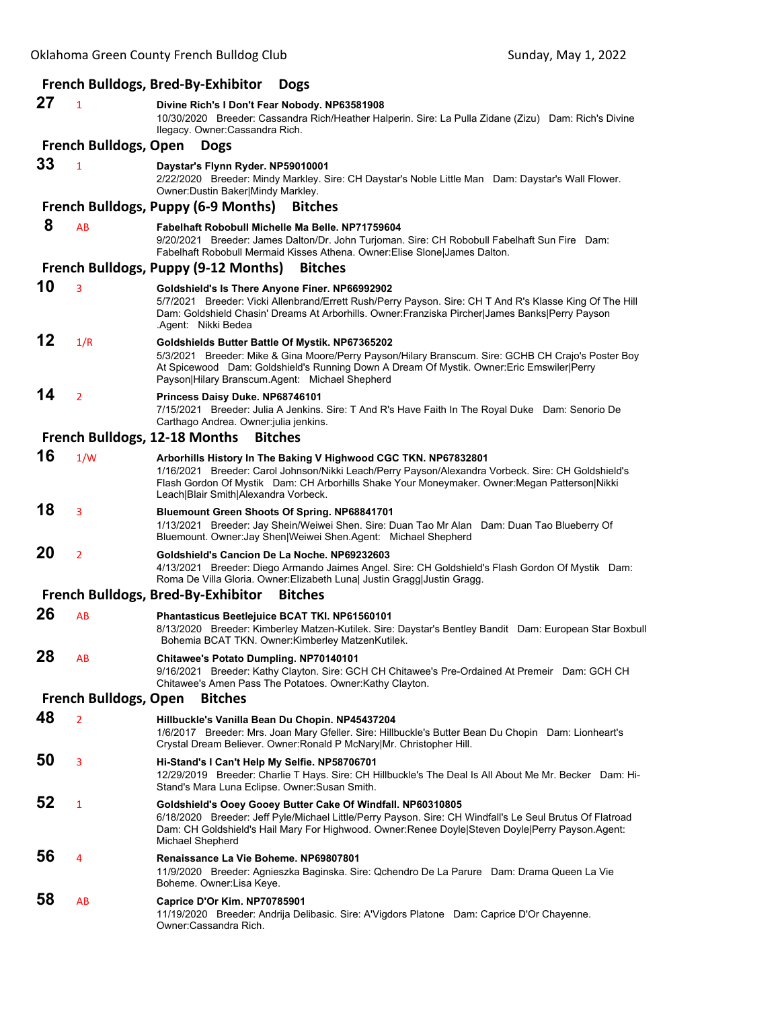|                                                |                | <b>French Bulldogs, Bred-By-Exhibitor</b><br><b>Dogs</b>                                                                                                                                                                                                                                                      |  |  |  |  |
|------------------------------------------------|----------------|---------------------------------------------------------------------------------------------------------------------------------------------------------------------------------------------------------------------------------------------------------------------------------------------------------------|--|--|--|--|
| 27                                             | $\mathbf{1}$   | Divine Rich's I Don't Fear Nobody. NP63581908<br>10/30/2020 Breeder: Cassandra Rich/Heather Halperin. Sire: La Pulla Zidane (Zizu) Dam: Rich's Divine<br>Ilegacy. Owner:Cassandra Rich.                                                                                                                       |  |  |  |  |
| <b>French Bulldogs, Open</b><br><b>Dogs</b>    |                |                                                                                                                                                                                                                                                                                                               |  |  |  |  |
| 33                                             | $\mathbf{1}$   | Daystar's Flynn Ryder. NP59010001<br>2/22/2020 Breeder: Mindy Markley. Sire: CH Daystar's Noble Little Man Dam: Daystar's Wall Flower.<br>Owner: Dustin Baker Mindy Markley.                                                                                                                                  |  |  |  |  |
|                                                |                | French Bulldogs, Puppy (6-9 Months)<br><b>Bitches</b>                                                                                                                                                                                                                                                         |  |  |  |  |
| 8                                              | AB             | Fabelhaft Robobull Michelle Ma Belle, NP71759604<br>9/20/2021 Breeder: James Dalton/Dr. John Turjoman. Sire: CH Robobull Fabelhaft Sun Fire Dam:<br>Fabelhaft Robobull Mermaid Kisses Athena. Owner: Elise Slone James Dalton.                                                                                |  |  |  |  |
|                                                |                | French Bulldogs, Puppy (9-12 Months)<br><b>Bitches</b>                                                                                                                                                                                                                                                        |  |  |  |  |
| 10                                             | 3              | Goldshield's Is There Anyone Finer. NP66992902<br>5/7/2021 Breeder: Vicki Allenbrand/Errett Rush/Perry Payson. Sire: CH T And R's Klasse King Of The Hill<br>Dam: Goldshield Chasin' Dreams At Arborhills. Owner:Franziska Pircher James Banks Perry Payson<br>.Agent: Nikki Bedea                            |  |  |  |  |
| 12                                             | 1/R            | Goldshields Butter Battle Of Mystik. NP67365202<br>5/3/2021 Breeder: Mike & Gina Moore/Perry Payson/Hilary Branscum. Sire: GCHB CH Crajo's Poster Boy<br>At Spicewood Dam: Goldshield's Running Down A Dream Of Mystik. Owner: Eric Emswiler Perry<br>Payson Hilary Branscum.Agent: Michael Shepherd          |  |  |  |  |
| 14                                             | $\overline{2}$ | Princess Daisy Duke. NP68746101<br>7/15/2021 Breeder: Julia A Jenkins. Sire: T And R's Have Faith In The Royal Duke Dam: Senorio De<br>Carthago Andrea. Owner: julia jenkins.                                                                                                                                 |  |  |  |  |
|                                                |                | French Bulldogs, 12-18 Months<br><b>Bitches</b>                                                                                                                                                                                                                                                               |  |  |  |  |
| 16                                             | 1/W            | Arborhills History In The Baking V Highwood CGC TKN. NP67832801<br>1/16/2021 Breeder: Carol Johnson/Nikki Leach/Perry Payson/Alexandra Vorbeck. Sire: CH Goldshield's<br>Flash Gordon Of Mystik Dam: CH Arborhills Shake Your Moneymaker. Owner:Megan Patterson Nikki<br>Leach Blair Smith Alexandra Vorbeck. |  |  |  |  |
| 18                                             | 3              | Bluemount Green Shoots Of Spring. NP68841701<br>1/13/2021 Breeder: Jay Shein/Weiwei Shen. Sire: Duan Tao Mr Alan Dam: Duan Tao Blueberry Of<br>Bluemount. Owner: Jay Shen Weiwei Shen. Agent: Michael Shepherd                                                                                                |  |  |  |  |
| 20                                             | $\overline{2}$ | Goldshield's Cancion De La Noche. NP69232603<br>4/13/2021 Breeder: Diego Armando Jaimes Angel. Sire: CH Goldshield's Flash Gordon Of Mystik Dam:<br>Roma De Villa Gloria. Owner: Elizabeth Luna  Justin Gragg Justin Gragg.                                                                                   |  |  |  |  |
|                                                |                | <b>French Bulldogs, Bred-By-Exhibitor</b><br><b>Bitches</b>                                                                                                                                                                                                                                                   |  |  |  |  |
| 26                                             | AB             | Phantasticus Beetlejuice BCAT TKI. NP61560101<br>8/13/2020 Breeder: Kimberley Matzen-Kutilek. Sire: Daystar's Bentley Bandit Dam: European Star Boxbull<br>Bohemia BCAT TKN. Owner: Kimberley MatzenKutilek.                                                                                                  |  |  |  |  |
| 28                                             | AB             | Chitawee's Potato Dumpling. NP70140101<br>9/16/2021 Breeder: Kathy Clayton. Sire: GCH CH Chitawee's Pre-Ordained At Premeir Dam: GCH CH<br>Chitawee's Amen Pass The Potatoes. Owner: Kathy Clayton.                                                                                                           |  |  |  |  |
| <b>French Bulldogs, Open</b><br><b>Bitches</b> |                |                                                                                                                                                                                                                                                                                                               |  |  |  |  |
| 48                                             | $\overline{2}$ | Hillbuckle's Vanilla Bean Du Chopin. NP45437204<br>1/6/2017 Breeder: Mrs. Joan Mary Gfeller. Sire: Hillbuckle's Butter Bean Du Chopin Dam: Lionheart's<br>Crystal Dream Believer. Owner: Ronald P McNary Mr. Christopher Hill.                                                                                |  |  |  |  |
| 50                                             | 3              | Hi-Stand's I Can't Help My Selfie. NP58706701<br>-12/29/2019   Breeder: Charlie T Hays. Sire: CH Hillbuckle's The Deal Is All About Me Mr. Becker   Dam: Hi<br>Stand's Mara Luna Eclipse. Owner:Susan Smith.                                                                                                  |  |  |  |  |
| 52                                             | 1              | Goldshield's Ooey Gooey Butter Cake Of Windfall. NP60310805<br>6/18/2020 Breeder: Jeff Pyle/Michael Little/Perry Payson. Sire: CH Windfall's Le Seul Brutus Of Flatroad<br>Dam: CH Goldshield's Hail Mary For Highwood. Owner:Renee Doyle Steven Doyle Perry Payson.Agent:<br>Michael Shepherd                |  |  |  |  |
| 56                                             | 4              | Renaissance La Vie Boheme. NP69807801<br>11/9/2020 Breeder: Agnieszka Baginska. Sire: Qchendro De La Parure Dam: Drama Queen La Vie<br>Boheme. Owner:Lisa Keye.                                                                                                                                               |  |  |  |  |
| 58                                             | AB             | Caprice D'Or Kim. NP70785901<br>11/19/2020 Breeder: Andrija Delibasic. Sire: A'Vigdors Platone Dam: Caprice D'Or Chayenne.<br>Owner:Cassandra Rich.                                                                                                                                                           |  |  |  |  |